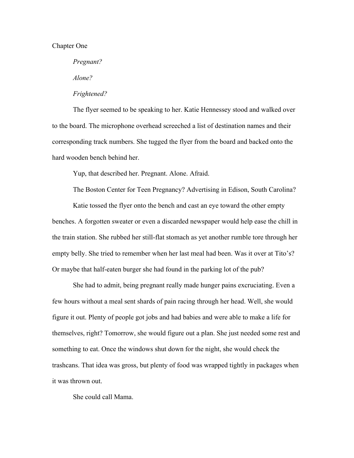## Chapter One

*Pregnant?*

*Alone?*

## *Frightened?*

The flyer seemed to be speaking to her. Katie Hennessey stood and walked over to the board. The microphone overhead screeched a list of destination names and their corresponding track numbers. She tugged the flyer from the board and backed onto the hard wooden bench behind her.

Yup, that described her. Pregnant. Alone. Afraid.

The Boston Center for Teen Pregnancy? Advertising in Edison, South Carolina?

Katie tossed the flyer onto the bench and cast an eye toward the other empty benches. A forgotten sweater or even a discarded newspaper would help ease the chill in the train station. She rubbed her still-flat stomach as yet another rumble tore through her empty belly. She tried to remember when her last meal had been. Was it over at Tito's? Or maybe that half-eaten burger she had found in the parking lot of the pub?

She had to admit, being pregnant really made hunger pains excruciating. Even a few hours without a meal sent shards of pain racing through her head. Well, she would figure it out. Plenty of people got jobs and had babies and were able to make a life for themselves, right? Tomorrow, she would figure out a plan. She just needed some rest and something to eat. Once the windows shut down for the night, she would check the trashcans. That idea was gross, but plenty of food was wrapped tightly in packages when it was thrown out.

She could call Mama.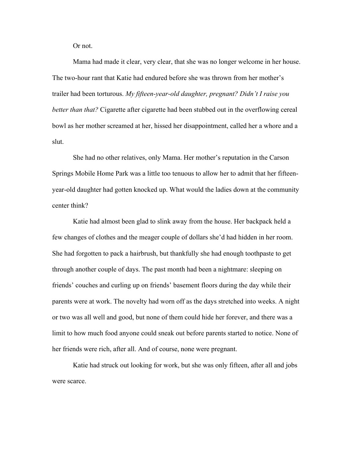Or not.

Mama had made it clear, very clear, that she was no longer welcome in her house. The two-hour rant that Katie had endured before she was thrown from her mother's trailer had been torturous. *My fifteen-year-old daughter, pregnant? Didn't I raise you better than that?* Cigarette after cigarette had been stubbed out in the overflowing cereal bowl as her mother screamed at her, hissed her disappointment, called her a whore and a slut.

She had no other relatives, only Mama. Her mother's reputation in the Carson Springs Mobile Home Park was a little too tenuous to allow her to admit that her fifteenyear-old daughter had gotten knocked up. What would the ladies down at the community center think?

Katie had almost been glad to slink away from the house. Her backpack held a few changes of clothes and the meager couple of dollars she'd had hidden in her room. She had forgotten to pack a hairbrush, but thankfully she had enough toothpaste to get through another couple of days. The past month had been a nightmare: sleeping on friends' couches and curling up on friends' basement floors during the day while their parents were at work. The novelty had worn off as the days stretched into weeks. A night or two was all well and good, but none of them could hide her forever, and there was a limit to how much food anyone could sneak out before parents started to notice. None of her friends were rich, after all. And of course, none were pregnant.

Katie had struck out looking for work, but she was only fifteen, after all and jobs were scarce.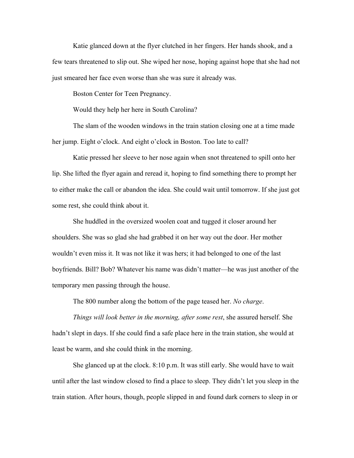Katie glanced down at the flyer clutched in her fingers. Her hands shook, and a few tears threatened to slip out. She wiped her nose, hoping against hope that she had not just smeared her face even worse than she was sure it already was.

Boston Center for Teen Pregnancy.

Would they help her here in South Carolina?

The slam of the wooden windows in the train station closing one at a time made her jump. Eight o'clock. And eight o'clock in Boston. Too late to call?

Katie pressed her sleeve to her nose again when snot threatened to spill onto her lip. She lifted the flyer again and reread it, hoping to find something there to prompt her to either make the call or abandon the idea. She could wait until tomorrow. If she just got some rest, she could think about it.

She huddled in the oversized woolen coat and tugged it closer around her shoulders. She was so glad she had grabbed it on her way out the door. Her mother wouldn't even miss it. It was not like it was hers; it had belonged to one of the last boyfriends. Bill? Bob? Whatever his name was didn't matter—he was just another of the temporary men passing through the house.

The 800 number along the bottom of the page teased her. *No charge*.

*Things will look better in the morning, after some rest*, she assured herself. She hadn't slept in days. If she could find a safe place here in the train station, she would at least be warm, and she could think in the morning.

She glanced up at the clock. 8:10 p.m. It was still early. She would have to wait until after the last window closed to find a place to sleep. They didn't let you sleep in the train station. After hours, though, people slipped in and found dark corners to sleep in or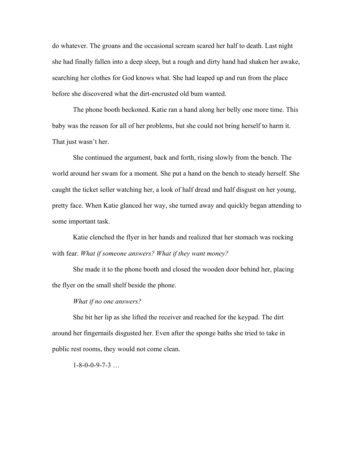do whatever. The groans and the occasional scream scared her half to death. Last night she had finally fallen into a deep sleep, but a rough and dirty hand had shaken her awake, searching her clothes for God knows what. She had leaped up and run from the place before she discovered what the dirt-encrusted old bum wanted.

The phone booth beckoned. Katie ran a hand along her belly one more time. This baby was the reason for all of her problems, but she could not bring herself to harm it. That just wasn't her.

She continued the argument, back and forth, rising slowly from the bench. The world around her swam for a moment. She put a hand on the bench to steady herself. She caught the ticket seller watching her, a look of half dread and half disgust on her young, pretty face. When Katie glanced her way, she turned away and quickly began attending to some important task.

Katie clenched the flyer in her hands and realized that her stomach was rocking with fear. *What if someone answers? What if they want money?* 

She made it to the phone booth and closed the wooden door behind her, placing the flyer on the small shelf beside the phone.

## *What if no one answers?*

She bit her lip as she lifted the receiver and reached for the keypad. The dirt around her fingernails disgusted her. Even after the sponge baths she tried to take in public rest rooms, they would not come clean.

 $1 - 8 - 0 - 0 - 9 - 7 - 3$  ...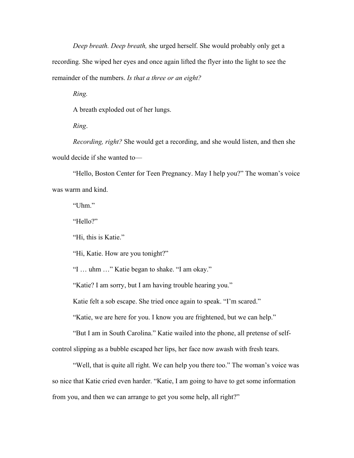*Deep breath. Deep breath,* she urged herself. She would probably only get a recording. She wiped her eyes and once again lifted the flyer into the light to see the remainder of the numbers. *Is that a three or an eight?*

*Ring.* 

A breath exploded out of her lungs.

*Ring*.

*Recording, right?* She would get a recording, and she would listen, and then she would decide if she wanted to—

"Hello, Boston Center for Teen Pregnancy. May I help you?" The woman's voice was warm and kind.

"Uhm."

"Hello?"

"Hi, this is Katie."

"Hi, Katie. How are you tonight?"

"I … uhm …" Katie began to shake. "I am okay."

"Katie? I am sorry, but I am having trouble hearing you."

Katie felt a sob escape. She tried once again to speak. "I'm scared."

"Katie, we are here for you. I know you are frightened, but we can help."

"But I am in South Carolina." Katie wailed into the phone, all pretense of selfcontrol slipping as a bubble escaped her lips, her face now awash with fresh tears.

"Well, that is quite all right. We can help you there too." The woman's voice was so nice that Katie cried even harder. "Katie, I am going to have to get some information from you, and then we can arrange to get you some help, all right?"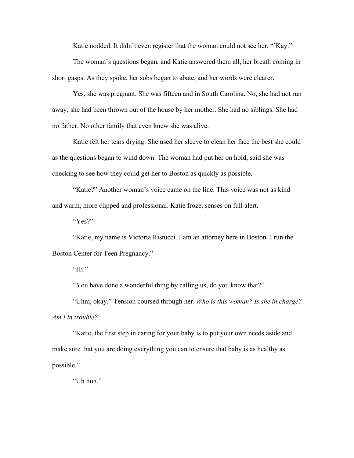Katie nodded. It didn't even register that the woman could not see her. "'Kay."

The woman's questions began, and Katie answered them all, her breath coming in short gasps. As they spoke, her sobs began to abate, and her words were clearer.

Yes, she was pregnant. She was fifteen and in South Carolina. No, she had not run away; she had been thrown out of the house by her mother. She had no siblings. She had no father. No other family that even knew she was alive.

Katie felt her tears drying. She used her sleeve to clean her face the best she could as the questions began to wind down. The woman had put her on hold, said she was checking to see how they could get her to Boston as quickly as possible.

"Katie?" Another woman's voice came on the line. This voice was not as kind and warm, more clipped and professional. Katie froze, senses on full alert.

"Yes?"

"Katie, my name is Victoria Ristucci. I am an attorney here in Boston. I run the Boston Center for Teen Pregnancy."

"Hi."

"You have done a wonderful thing by calling us, do you know that?"

"Uhm, okay." Tension coursed through her. *Who is this woman? Is she in charge? Am I in trouble?*

"Katie, the first step in caring for your baby is to put your own needs aside and make sure that you are doing everything you can to ensure that baby is as healthy as possible."

"Uh huh."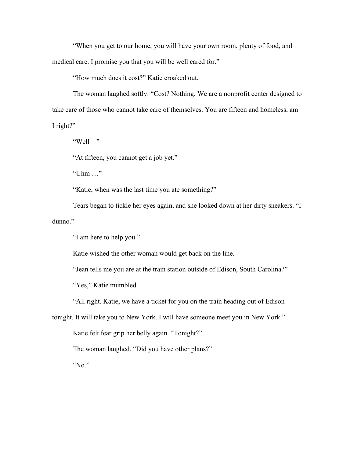"When you get to our home, you will have your own room, plenty of food, and medical care. I promise you that you will be well cared for."

"How much does it cost?" Katie croaked out.

The woman laughed softly. "Cost? Nothing. We are a nonprofit center designed to take care of those who cannot take care of themselves. You are fifteen and homeless, am I right?"

"Well—"

"At fifteen, you cannot get a job yet."

"Uhm …"

"Katie, when was the last time you ate something?"

Tears began to tickle her eyes again, and she looked down at her dirty sneakers. "I dunno."

"I am here to help you."

Katie wished the other woman would get back on the line.

"Jean tells me you are at the train station outside of Edison, South Carolina?"

"Yes," Katie mumbled.

"All right. Katie, we have a ticket for you on the train heading out of Edison

tonight. It will take you to New York. I will have someone meet you in New York."

Katie felt fear grip her belly again. "Tonight?"

The woman laughed. "Did you have other plans?"

"No."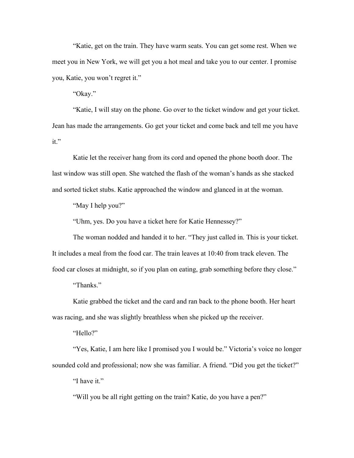"Katie, get on the train. They have warm seats. You can get some rest. When we meet you in New York, we will get you a hot meal and take you to our center. I promise you, Katie, you won't regret it."

"Okay."

"Katie, I will stay on the phone. Go over to the ticket window and get your ticket. Jean has made the arrangements. Go get your ticket and come back and tell me you have it."

Katie let the receiver hang from its cord and opened the phone booth door. The last window was still open. She watched the flash of the woman's hands as she stacked and sorted ticket stubs. Katie approached the window and glanced in at the woman.

"May I help you?"

"Uhm, yes. Do you have a ticket here for Katie Hennessey?"

The woman nodded and handed it to her. "They just called in. This is your ticket. It includes a meal from the food car. The train leaves at 10:40 from track eleven. The food car closes at midnight, so if you plan on eating, grab something before they close."

"Thanks."

Katie grabbed the ticket and the card and ran back to the phone booth. Her heart was racing, and she was slightly breathless when she picked up the receiver.

"Hello?"

"Yes, Katie, I am here like I promised you I would be." Victoria's voice no longer sounded cold and professional; now she was familiar. A friend. "Did you get the ticket?" "I have it."

"Will you be all right getting on the train? Katie, do you have a pen?"